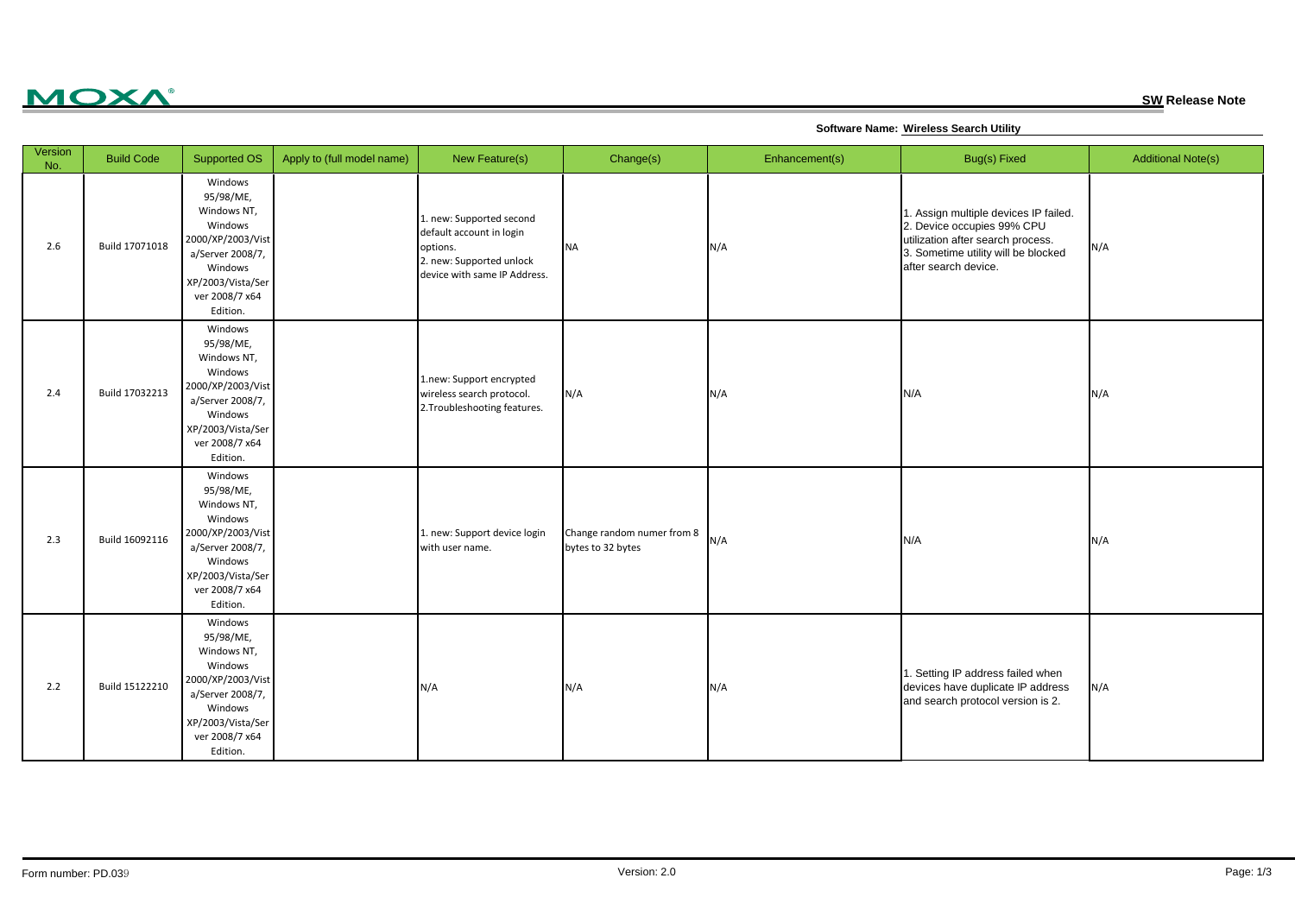## **MOXA®**

**SW Release Note**

**Software Name: Wireless Search Utility**

| Version<br>No. | <b>Build Code</b> | Supported OS                                                                                                                                          | Apply to (full model name) | New Feature(s)                                                                                                               | Change(s)                                       | Enhancement(s) | Bug(s) Fixed                                                                                                                                                            | <b>Additional Note(s)</b> |
|----------------|-------------------|-------------------------------------------------------------------------------------------------------------------------------------------------------|----------------------------|------------------------------------------------------------------------------------------------------------------------------|-------------------------------------------------|----------------|-------------------------------------------------------------------------------------------------------------------------------------------------------------------------|---------------------------|
| 2.6            | Build 17071018    | Windows<br>95/98/ME,<br>Windows NT,<br>Windows<br>2000/XP/2003/Vist<br>a/Server 2008/7,<br>Windows<br>XP/2003/Vista/Ser<br>ver 2008/7 x64<br>Edition. |                            | 1. new: Supported second<br>default account in login<br>options.<br>2. new: Supported unlock<br>device with same IP Address. | <b>NA</b>                                       | N/A            | 1. Assign multiple devices IP failed.<br>2. Device occupies 99% CPU<br>utilization after search process.<br>3. Sometime utility will be blocked<br>after search device. | N/A                       |
| 2.4            | Build 17032213    | Windows<br>95/98/ME,<br>Windows NT,<br>Windows<br>2000/XP/2003/Vist<br>a/Server 2008/7,<br>Windows<br>XP/2003/Vista/Ser<br>ver 2008/7 x64<br>Edition. |                            | 1.new: Support encrypted<br>wireless search protocol.<br>2. Troubleshooting features.                                        | N/A                                             | N/A            | N/A                                                                                                                                                                     | N/A                       |
| 2.3            | Build 16092116    | Windows<br>95/98/ME,<br>Windows NT,<br>Windows<br>2000/XP/2003/Vist<br>a/Server 2008/7,<br>Windows<br>XP/2003/Vista/Ser<br>ver 2008/7 x64<br>Edition. |                            | 1. new: Support device login<br>with user name.                                                                              | Change random numer from 8<br>bytes to 32 bytes | N/A            | N/A                                                                                                                                                                     | N/A                       |
| 2.2            | Build 15122210    | Windows<br>95/98/ME,<br>Windows NT,<br>Windows<br>2000/XP/2003/Vist<br>a/Server 2008/7,<br>Windows<br>XP/2003/Vista/Ser<br>ver 2008/7 x64<br>Edition. |                            | N/A                                                                                                                          | N/A                                             | N/A            | 1. Setting IP address failed when<br>devices have duplicate IP address<br>and search protocol version is 2.                                                             | N/A                       |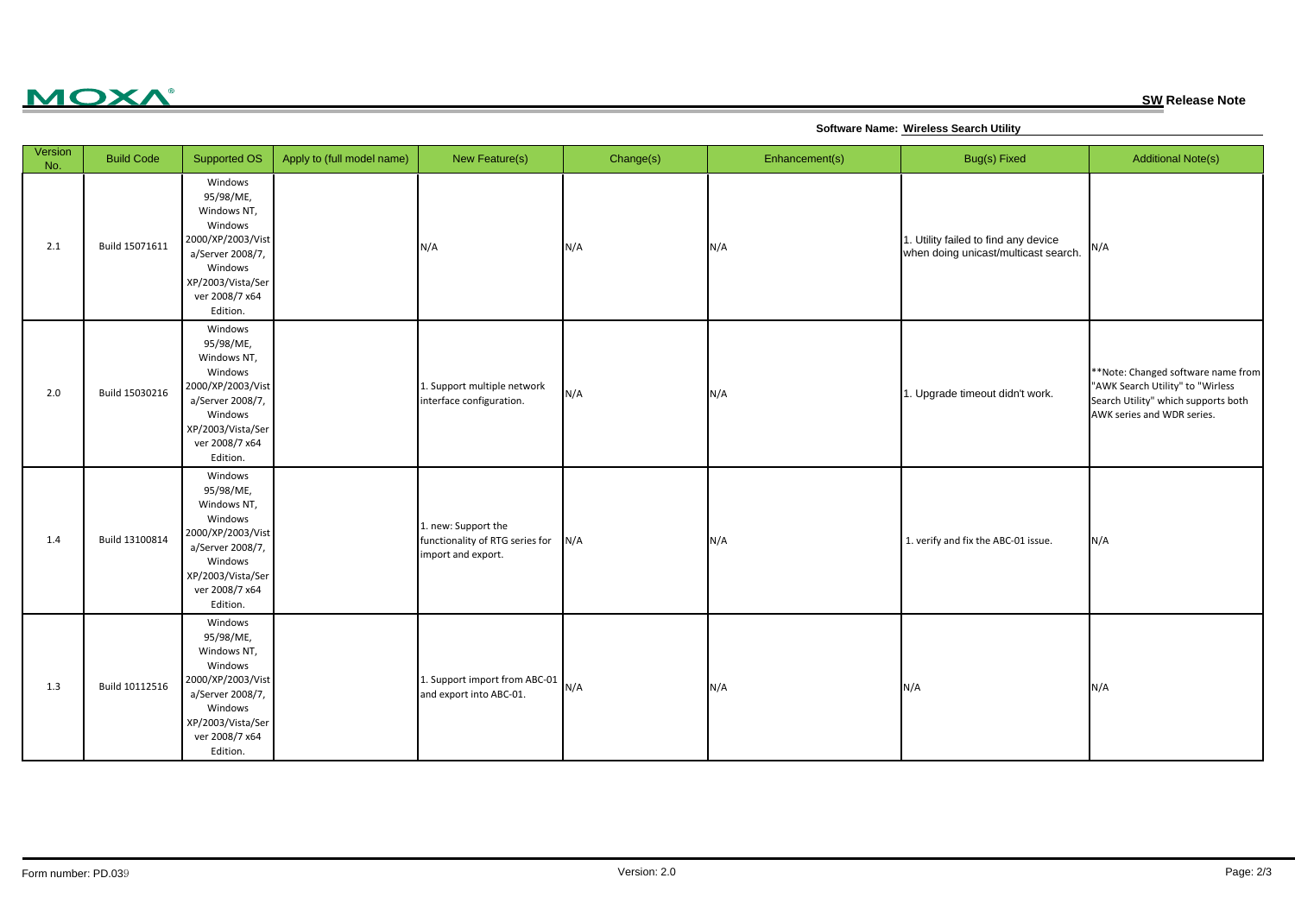

**SW Release Note**

**Software Name: Wireless Search Utility**

| Version<br>No. | <b>Build Code</b> | Supported OS                                                                                                                                          | Apply to (full model name) | New Feature(s)                                                               | Change(s) | Enhancement(s) | Bug(s) Fixed                                                                 | <b>Additional Note(s)</b>                                                                                                                   |
|----------------|-------------------|-------------------------------------------------------------------------------------------------------------------------------------------------------|----------------------------|------------------------------------------------------------------------------|-----------|----------------|------------------------------------------------------------------------------|---------------------------------------------------------------------------------------------------------------------------------------------|
| 2.1            | Build 15071611    | Windows<br>95/98/ME,<br>Windows NT,<br>Windows<br>2000/XP/2003/Vist<br>a/Server 2008/7,<br>Windows<br>XP/2003/Vista/Ser<br>ver 2008/7 x64<br>Edition. |                            | N/A                                                                          | N/A       | N/A            | 1. Utility failed to find any device<br>when doing unicast/multicast search. | N/A                                                                                                                                         |
| 2.0            | Build 15030216    | Windows<br>95/98/ME,<br>Windows NT,<br>Windows<br>2000/XP/2003/Vist<br>a/Server 2008/7,<br>Windows<br>XP/2003/Vista/Ser<br>ver 2008/7 x64<br>Edition. |                            | 1. Support multiple network<br>interface configuration.                      | N/A       | N/A            | 1. Upgrade timeout didn't work.                                              | **Note: Changed software name from<br>"AWK Search Utility" to "Wirless<br>Search Utility" which supports both<br>AWK series and WDR series. |
| 1.4            | Build 13100814    | Windows<br>95/98/ME,<br>Windows NT,<br>Windows<br>2000/XP/2003/Vist<br>a/Server 2008/7,<br>Windows<br>XP/2003/Vista/Ser<br>ver 2008/7 x64<br>Edition. |                            | 1. new: Support the<br>functionality of RTG series for<br>import and export. | N/A       | N/A            | 1. verify and fix the ABC-01 issue.                                          | N/A                                                                                                                                         |
| 1.3            | Build 10112516    | Windows<br>95/98/ME,<br>Windows NT,<br>Windows<br>2000/XP/2003/Vist<br>a/Server 2008/7,<br>Windows<br>XP/2003/Vista/Ser<br>ver 2008/7 x64<br>Edition. |                            | 1. Support import from ABC-01 $N/A$<br>and export into ABC-01.               |           | N/A            | N/A                                                                          | N/A                                                                                                                                         |